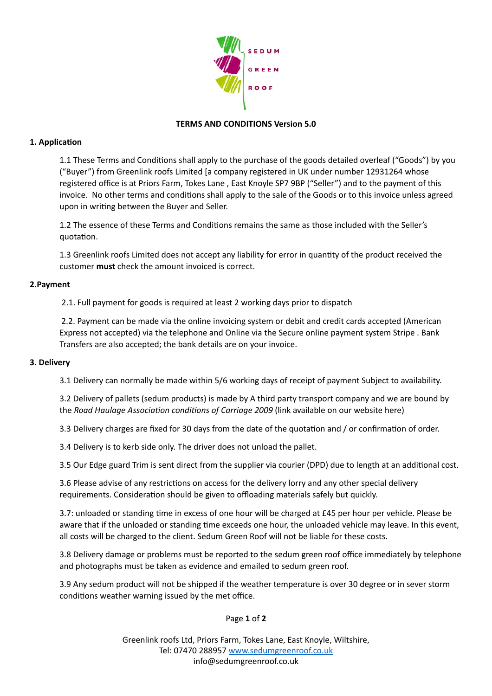

# **TERMS AND CONDITIONS Version 5.0**

## **1. Application**

1.1 These Terms and Conditions shall apply to the purchase of the goods detailed overleaf ("Goods") by you ("Buyer") from Greenlink roofs Limited [a company registered in UK under number 12931264 whose registered office is at Priors Farm, Tokes Lane, East Knoyle SP7 9BP ("Seller") and to the payment of this invoice. No other terms and conditions shall apply to the sale of the Goods or to this invoice unless agreed upon in writing between the Buyer and Seller.

1.2 The essence of these Terms and Conditions remains the same as those included with the Seller's quotation.

1.3 Greenlink roofs Limited does not accept any liability for error in quantity of the product received the customer **must** check the amount invoiced is correct.

### **2.Payment**

2.1. Full payment for goods is required at least 2 working days prior to dispatch

2.2. Payment can be made via the online invoicing system or debit and credit cards accepted (American Express not accepted) via the telephone and Online via the Secure online payment system Stripe . Bank Transfers are also accepted; the bank details are on your invoice.

### **3. Delivery**

3.1 Delivery can normally be made within 5/6 working days of receipt of payment Subject to availability.

3.2 Delivery of pallets (sedum products) is made by A third party transport company and we are bound by the *Road Haulage Association conditions of Carriage 2009* (link available on our website here)

3.3 Delivery charges are fixed for 30 days from the date of the quotation and / or confirmation of order.

3.4 Delivery is to kerb side only. The driver does not unload the pallet.

3.5 Our Edge guard Trim is sent direct from the supplier via courier (DPD) due to length at an additional cost.

3.6 Please advise of any restrictions on access for the delivery lorry and any other special delivery requirements. Consideration should be given to offloading materials safely but quickly.

3.7: unloaded or standing time in excess of one hour will be charged at £45 per hour per vehicle. Please be aware that if the unloaded or standing time exceeds one hour, the unloaded vehicle may leave. In this event, all costs will be charged to the client. Sedum Green Roof will not be liable for these costs.

3.8 Delivery damage or problems must be reported to the sedum green roof office immediately by telephone and photographs must be taken as evidence and emailed to sedum green roof.

3.9 Any sedum product will not be shipped if the weather temperature is over 30 degree or in sever storm conditions weather warning issued by the met office.

Page **1** of **2**

Greenlink roofs Ltd, Priors Farm, Tokes Lane, East Knoyle, Wiltshire, Tel: 07470 288957 www.sedumgreenroof.co.uk info@sedumgreenroof.co.uk